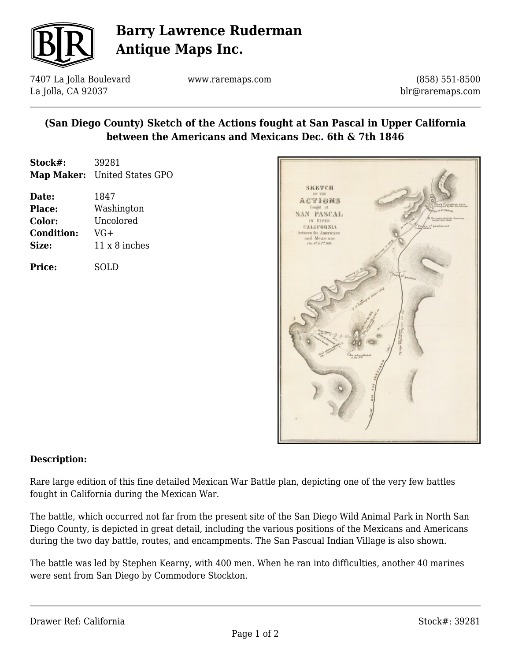

# **Barry Lawrence Ruderman Antique Maps Inc.**

7407 La Jolla Boulevard La Jolla, CA 92037

www.raremaps.com

(858) 551-8500 blr@raremaps.com

## **(San Diego County) Sketch of the Actions fought at San Pascal in Upper California between the Americans and Mexicans Dec. 6th & 7th 1846**

| Stock#: | 39281                        |
|---------|------------------------------|
|         | Map Maker: United States GPO |

| Date:             | 1847          |
|-------------------|---------------|
| <b>Place:</b>     | Washington    |
| Color:            | Uncolored     |
| <b>Condition:</b> | $VG+$         |
| Size:             | 11 x 8 inches |
|                   |               |

**Price:** SOLD



### **Description:**

Rare large edition of this fine detailed Mexican War Battle plan, depicting one of the very few battles fought in California during the Mexican War.

The battle, which occurred not far from the present site of the San Diego Wild Animal Park in North San Diego County, is depicted in great detail, including the various positions of the Mexicans and Americans during the two day battle, routes, and encampments. The San Pascual Indian Village is also shown.

The battle was led by Stephen Kearny, with 400 men. When he ran into difficulties, another 40 marines were sent from San Diego by Commodore Stockton.